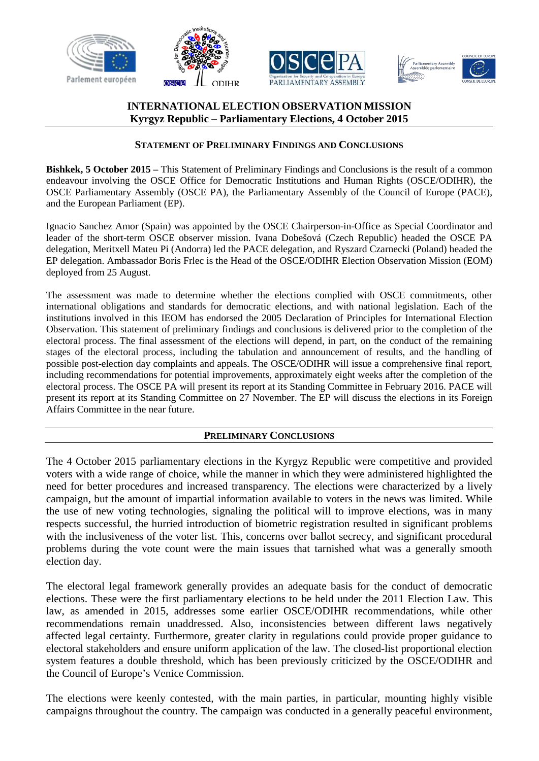





# **INTERNATIONAL ELECTION OBSERVATION MISSION Kyrgyz Republic – Parliamentary Elections, 4 October 2015**

#### **STATEMENT OF PRELIMINARY FINDINGS AND CONCLUSIONS**

**Bishkek, 5 October 2015 –** This Statement of Preliminary Findings and Conclusions is the result of a common endeavour involving the OSCE Office for Democratic Institutions and Human Rights (OSCE/ODIHR), the OSCE Parliamentary Assembly (OSCE PA), the Parliamentary Assembly of the Council of Europe (PACE), and the European Parliament (EP).

Ignacio Sanchez Amor (Spain) was appointed by the OSCE Chairperson-in-Office as Special Coordinator and leader of the short-term OSCE observer mission. Ivana Dobešová (Czech Republic) headed the OSCE PA delegation, Meritxell Mateu Pi (Andorra) led the PACE delegation, and Ryszard Czarnecki (Poland) headed the EP delegation. Ambassador Boris Frlec is the Head of the OSCE/ODIHR Election Observation Mission (EOM) deployed from 25 August.

The assessment was made to determine whether the elections complied with OSCE commitments, other international obligations and standards for democratic elections, and with national legislation. Each of the institutions involved in this IEOM has endorsed the 2005 Declaration of Principles for International Election Observation. This statement of preliminary findings and conclusions is delivered prior to the completion of the electoral process. The final assessment of the elections will depend, in part, on the conduct of the remaining stages of the electoral process, including the tabulation and announcement of results, and the handling of possible post-election day complaints and appeals. The OSCE/ODIHR will issue a comprehensive final report, including recommendations for potential improvements, approximately eight weeks after the completion of the electoral process. The OSCE PA will present its report at its Standing Committee in February 2016. PACE will present its report at its Standing Committee on 27 November. The EP will discuss the elections in its Foreign Affairs Committee in the near future.

#### **PRELIMINARY CONCLUSIONS**

The 4 October 2015 parliamentary elections in the Kyrgyz Republic were competitive and provided voters with a wide range of choice, while the manner in which they were administered highlighted the need for better procedures and increased transparency. The elections were characterized by a lively campaign, but the amount of impartial information available to voters in the news was limited. While the use of new voting technologies, signaling the political will to improve elections, was in many respects successful, the hurried introduction of biometric registration resulted in significant problems with the inclusiveness of the voter list. This, concerns over ballot secrecy, and significant procedural problems during the vote count were the main issues that tarnished what was a generally smooth election day.

The electoral legal framework generally provides an adequate basis for the conduct of democratic elections. These were the first parliamentary elections to be held under the 2011 Election Law. This law, as amended in 2015, addresses some earlier OSCE/ODIHR recommendations, while other recommendations remain unaddressed. Also, inconsistencies between different laws negatively affected legal certainty. Furthermore, greater clarity in regulations could provide proper guidance to electoral stakeholders and ensure uniform application of the law. The closed-list proportional election system features a double threshold, which has been previously criticized by the OSCE/ODIHR and the Council of Europe's Venice Commission.

The elections were keenly contested, with the main parties, in particular, mounting highly visible campaigns throughout the country. The campaign was conducted in a generally peaceful environment,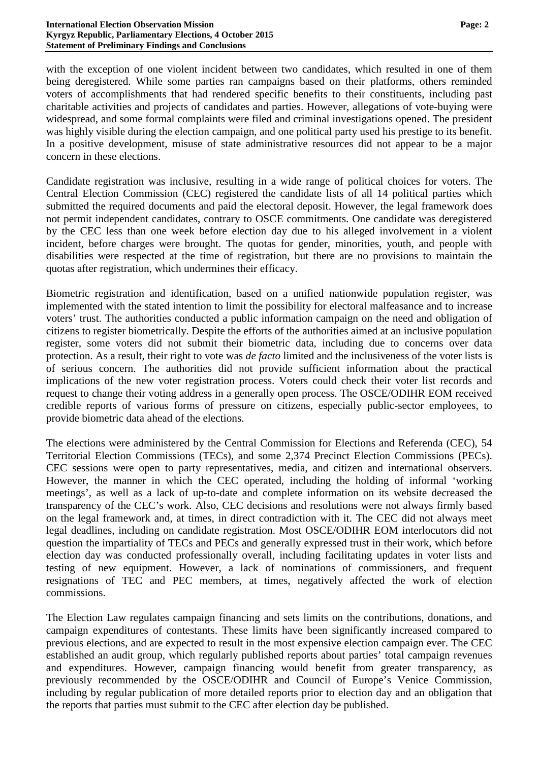with the exception of one violent incident between two candidates, which resulted in one of them being deregistered. While some parties ran campaigns based on their platforms, others reminded voters of accomplishments that had rendered specific benefits to their constituents, including past charitable activities and projects of candidates and parties. However, allegations of vote-buying were widespread, and some formal complaints were filed and criminal investigations opened. The president was highly visible during the election campaign, and one political party used his prestige to its benefit. In a positive development, misuse of state administrative resources did not appear to be a major concern in these elections.

Candidate registration was inclusive, resulting in a wide range of political choices for voters. The Central Election Commission (CEC) registered the candidate lists of all 14 political parties which submitted the required documents and paid the electoral deposit. However, the legal framework does not permit independent candidates, contrary to OSCE commitments. One candidate was deregistered by the CEC less than one week before election day due to his alleged involvement in a violent incident, before charges were brought. The quotas for gender, minorities, youth, and people with disabilities were respected at the time of registration, but there are no provisions to maintain the quotas after registration, which undermines their efficacy.

Biometric registration and identification, based on a unified nationwide population register, was implemented with the stated intention to limit the possibility for electoral malfeasance and to increase voters' trust. The authorities conducted a public information campaign on the need and obligation of citizens to register biometrically. Despite the efforts of the authorities aimed at an inclusive population register, some voters did not submit their biometric data, including due to concerns over data protection. As a result, their right to vote was *de facto* limited and the inclusiveness of the voter lists is of serious concern. The authorities did not provide sufficient information about the practical implications of the new voter registration process. Voters could check their voter list records and request to change their voting address in a generally open process. The OSCE/ODIHR EOM received credible reports of various forms of pressure on citizens, especially public-sector employees, to provide biometric data ahead of the elections.

The elections were administered by the Central Commission for Elections and Referenda (CEC), 54 Territorial Election Commissions (TECs), and some 2,374 Precinct Election Commissions (PECs). CEC sessions were open to party representatives, media, and citizen and international observers. However, the manner in which the CEC operated, including the holding of informal 'working meetings', as well as a lack of up-to-date and complete information on its website decreased the transparency of the CEC's work. Also, CEC decisions and resolutions were not always firmly based on the legal framework and, at times, in direct contradiction with it. The CEC did not always meet legal deadlines, including on candidate registration. Most OSCE/ODIHR EOM interlocutors did not question the impartiality of TECs and PECs and generally expressed trust in their work, which before election day was conducted professionally overall, including facilitating updates in voter lists and testing of new equipment. However, a lack of nominations of commissioners, and frequent resignations of TEC and PEC members, at times, negatively affected the work of election commissions.

The Election Law regulates campaign financing and sets limits on the contributions, donations, and campaign expenditures of contestants. These limits have been significantly increased compared to previous elections, and are expected to result in the most expensive election campaign ever. The CEC established an audit group, which regularly published reports about parties' total campaign revenues and expenditures. However, campaign financing would benefit from greater transparency, as previously recommended by the OSCE/ODIHR and Council of Europe's Venice Commission, including by regular publication of more detailed reports prior to election day and an obligation that the reports that parties must submit to the CEC after election day be published.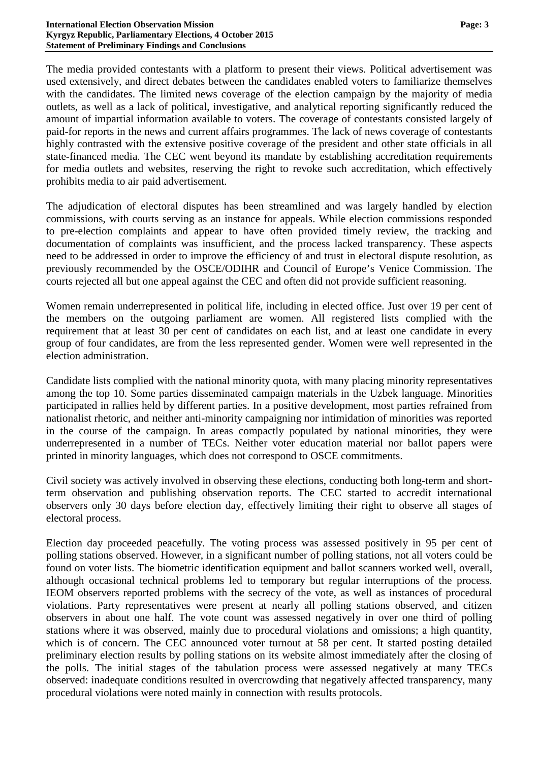The media provided contestants with a platform to present their views. Political advertisement was used extensively, and direct debates between the candidates enabled voters to familiarize themselves with the candidates. The limited news coverage of the election campaign by the majority of media outlets, as well as a lack of political, investigative, and analytical reporting significantly reduced the amount of impartial information available to voters. The coverage of contestants consisted largely of paid-for reports in the news and current affairs programmes. The lack of news coverage of contestants highly contrasted with the extensive positive coverage of the president and other state officials in all state-financed media. The CEC went beyond its mandate by establishing accreditation requirements for media outlets and websites, reserving the right to revoke such accreditation, which effectively prohibits media to air paid advertisement.

The adjudication of electoral disputes has been streamlined and was largely handled by election commissions, with courts serving as an instance for appeals. While election commissions responded to pre-election complaints and appear to have often provided timely review, the tracking and documentation of complaints was insufficient, and the process lacked transparency. These aspects need to be addressed in order to improve the efficiency of and trust in electoral dispute resolution, as previously recommended by the OSCE/ODIHR and Council of Europe's Venice Commission. The courts rejected all but one appeal against the CEC and often did not provide sufficient reasoning.

Women remain underrepresented in political life, including in elected office. Just over 19 per cent of the members on the outgoing parliament are women. All registered lists complied with the requirement that at least 30 per cent of candidates on each list, and at least one candidate in every group of four candidates, are from the less represented gender. Women were well represented in the election administration.

Candidate lists complied with the national minority quota, with many placing minority representatives among the top 10. Some parties disseminated campaign materials in the Uzbek language. Minorities participated in rallies held by different parties. In a positive development, most parties refrained from nationalist rhetoric, and neither anti-minority campaigning nor intimidation of minorities was reported in the course of the campaign. In areas compactly populated by national minorities, they were underrepresented in a number of TECs. Neither voter education material nor ballot papers were printed in minority languages, which does not correspond to OSCE commitments.

Civil society was actively involved in observing these elections, conducting both long-term and shortterm observation and publishing observation reports. The CEC started to accredit international observers only 30 days before election day, effectively limiting their right to observe all stages of electoral process.

Election day proceeded peacefully. The voting process was assessed positively in 95 per cent of polling stations observed. However, in a significant number of polling stations, not all voters could be found on voter lists. The biometric identification equipment and ballot scanners worked well, overall, although occasional technical problems led to temporary but regular interruptions of the process. IEOM observers reported problems with the secrecy of the vote, as well as instances of procedural violations. Party representatives were present at nearly all polling stations observed, and citizen observers in about one half. The vote count was assessed negatively in over one third of polling stations where it was observed, mainly due to procedural violations and omissions; a high quantity, which is of concern. The CEC announced voter turnout at 58 per cent. It started posting detailed preliminary election results by polling stations on its website almost immediately after the closing of the polls. The initial stages of the tabulation process were assessed negatively at many TECs observed: inadequate conditions resulted in overcrowding that negatively affected transparency, many procedural violations were noted mainly in connection with results protocols.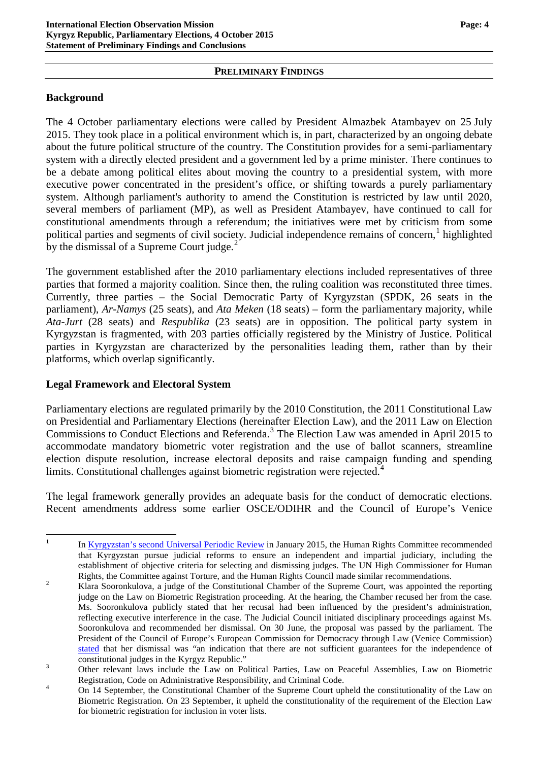#### **PRELIMINARY FINDINGS**

# **Background**

The 4 October parliamentary elections were called by President Almazbek Atambayev on 25 July 2015. They took place in a political environment which is, in part, characterized by an ongoing debate about the future political structure of the country. The Constitution provides for a semi-parliamentary system with a directly elected president and a government led by a prime minister. There continues to be a debate among political elites about moving the country to a presidential system, with more executive power concentrated in the president's office, or shifting towards a purely parliamentary system. Although parliament's authority to amend the Constitution is restricted by law until 2020, several members of parliament (MP), as well as President Atambayev, have continued to call for constitutional amendments through a referendum; the initiatives were met by criticism from some political parties and segments of civil society. Judicial independence remains of concern,<sup>[1](#page-3-0)</sup> highlighted by the dismissal of a Supreme Court judge. $<sup>2</sup>$  $<sup>2</sup>$  $<sup>2</sup>$ </sup>

The government established after the 2010 parliamentary elections included representatives of three parties that formed a majority coalition. Since then, the ruling coalition was reconstituted three times. Currently, three parties – the Social Democratic Party of Kyrgyzstan (SPDK, 26 seats in the parliament), *Ar-Namys* (25 seats), and *Ata Meken* (18 seats) – form the parliamentary majority, while *Ata-Jurt* (28 seats) and *Respublika* (23 seats) are in opposition. The political party system in Kyrgyzstan is fragmented, with 203 parties officially registered by the Ministry of Justice. Political parties in Kyrgyzstan are characterized by the personalities leading them, rather than by their platforms, which overlap significantly.

#### **Legal Framework and Electoral System**

Parliamentary elections are regulated primarily by the 2010 Constitution, the 2011 Constitutional Law on Presidential and Parliamentary Elections (hereinafter Election Law), and the 2011 Law on Election Commissions to Conduct Elections and Referenda.<sup>[3](#page-3-2)</sup> The Election Law was amended in April 2015 to accommodate mandatory biometric voter registration and the use of ballot scanners, streamline election dispute resolution, increase electoral deposits and raise campaign funding and spending limits. Constitutional challenges against biometric registration were rejected.<sup>[4](#page-3-3)</sup>

The legal framework generally provides an adequate basis for the conduct of democratic elections. Recent amendments address some earlier OSCE/ODIHR and the Council of Europe's Venice

<span id="page-3-0"></span><sup>&</sup>lt;sup>1</sup> In [Kyrgyzstan's second Universal Periodic Review](http://daccess-dds-ny.un.org/doc/UNDOC/GEN/G14/209/96/PDF/G1420996.pdf?OpenElement) in January 2015, the Human Rights Committee recommended that Kyrgyzstan pursue judicial reforms to ensure an independent and impartial judiciary, including the establishment of objective criteria for selecting and dismissing judges. The UN High Commissioner for Human Rights, the Committee against Torture, and the Human Rights Council made similar recommendations.<br><sup>2</sup> Klara Sooronkulova, a judge of the Constitutional Chamber of the Supreme Court, was appointed the reporting

<span id="page-3-1"></span>judge on the Law on Biometric Registration proceeding. At the hearing, the Chamber recused her from the case. Ms. Sooronkulova publicly stated that her recusal had been influenced by the president's administration, reflecting executive interference in the case. The Judicial Council initiated disciplinary proceedings against Ms. Sooronkulova and recommended her dismissal. On 30 June, the proposal was passed by the parliament. The President of the Council of Europe's European Commission for Democracy through Law (Venice Commission) [stated](http://www.venice.coe.int/webforms/events/?id=2044) that her dismissal was "an indication that there are not sufficient guarantees for the independence of

constitutional judges in the Kyrgyz Republic." <sup>3</sup> Other relevant laws include the Law on Political Parties, Law on Peaceful Assemblies, Law on Biometric

<span id="page-3-3"></span><span id="page-3-2"></span>Registration, Code on Administrative Responsibility, and Criminal Code.<br>4 On 14 September, the Constitutional Chamber of the Supreme Court upheld the constitutionality of the Law on Biometric Registration. On 23 September, it upheld the constitutionality of the requirement of the Election Law for biometric registration for inclusion in voter lists.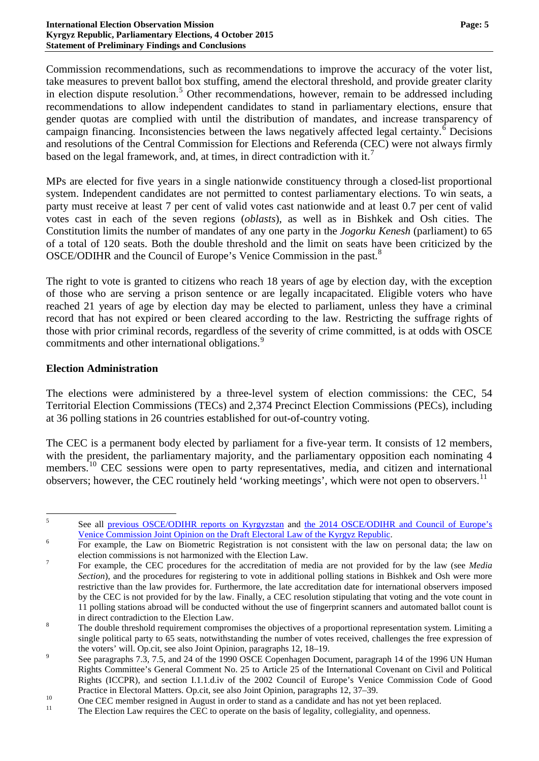Commission recommendations, such as recommendations to improve the accuracy of the voter list, take measures to prevent ballot box stuffing, amend the electoral threshold, and provide greater clarity in election dispute resolution.<sup>[5](#page-4-0)</sup> Other recommendations, however, remain to be addressed including recommendations to allow independent candidates to stand in parliamentary elections, ensure that gender quotas are complied with until the distribution of mandates, and increase transparency of campaign financing. Inconsistencies between the laws negatively affected legal certainty.<sup>[6](#page-4-1)</sup> Decisions and resolutions of the Central Commission for Elections and Referenda (CEC) were not always firmly based on the legal framework, and, at times, in direct contradiction with it.<sup>[7](#page-4-2)</sup>

MPs are elected for five years in a single nationwide constituency through a closed-list proportional system. Independent candidates are not permitted to contest parliamentary elections. To win seats, a party must receive at least 7 per cent of valid votes cast nationwide and at least 0.7 per cent of valid votes cast in each of the seven regions (*oblasts*), as well as in Bishkek and Osh cities. The Constitution limits the number of mandates of any one party in the *Jogorku Kenesh* (parliament) to 65 of a total of 120 seats. Both the double threshold and the limit on seats have been criticized by the OSCE/ODIHR and the Council of Europe's Venice Commission in the past.[8](#page-4-3)

The right to vote is granted to citizens who reach 18 years of age by election day, with the exception of those who are serving a prison sentence or are legally incapacitated. Eligible voters who have reached 21 years of age by election day may be elected to parliament, unless they have a criminal record that has not expired or been cleared according to the law. Restricting the suffrage rights of those with prior criminal records, regardless of the severity of crime committed, is at odds with OSCE commitments and other international obligations.<sup>[9](#page-4-4)</sup>

## **Election Administration**

The elections were administered by a three-level system of election commissions: the CEC, 54 Territorial Election Commissions (TECs) and 2,374 Precinct Election Commissions (PECs), including at 36 polling stations in 26 countries established for out-of-country voting.

The CEC is a permanent body elected by parliament for a five-year term. It consists of 12 members, with the president, the parliamentary majority, and the parliamentary opposition each nominating 4 members.<sup>[10](#page-4-5)</sup> CEC sessions were open to party representatives, media, and citizen and international observers; however, the CEC routinely held 'working meetings', which were not open to observers.<sup>[11](#page-4-6)</sup>

<span id="page-4-0"></span><sup>&</sup>lt;sup>5</sup> See all [previous OSCE/ODIHR reports on Kyrgyzstan](http://www.osce.org/odihr/elections/kyrgyzstan) and the 2014 OSCE/ODIHR and Council of Europe's [Venice Commission Joint Opinion on the Draft Electoral Law of the Kyrgyz Republic.](http://www.osce.org/odihr/119906)<br><sup>6</sup> For example, the Law on Biometric Registration is not consistent with the law on personal data; the law on

<span id="page-4-1"></span>

<span id="page-4-2"></span>election commissions is not harmonized with the Election Law.<br><sup>7</sup> For example, the CEC procedures for the accreditation of media are not provided for by the law (see *Media Section*), and the procedures for registering to vote in additional polling stations in Bishkek and Osh were more restrictive than the law provides for. Furthermore, the late accreditation date for international observers imposed by the CEC is not provided for by the law. Finally, a CEC resolution stipulating that voting and the vote count in 11 polling stations abroad will be conducted without the use of fingerprint scanners and automated ballot count is

<span id="page-4-3"></span>in direct contradiction to the Election Law.<br><sup>8</sup> The double threshold requirement compromises the objectives of a proportional representation system. Limiting a single political party to 65 seats, notwithstanding the number of votes received, challenges the free expression of

<span id="page-4-4"></span>the voters' will. Op.cit, see also Joint Opinion, paragraphs 12, 18–19.<br><sup>9</sup> See paragraphs 7.3, 7.5, and 24 of the 1990 OSCE Copenhagen Document, paragraph 14 of the 1996 UN Human Rights Committee's General Comment No. 25 to Article 25 of the International Covenant on Civil and Political Rights (ICCPR), and section I.1.1.d.iv of the 2002 Council of Europe's Venice Commission Code of Good

<span id="page-4-5"></span>Practice in Electoral Matters. Op.cit, see also Joint Opinion, paragraphs 12, 37–39.<br>
One CEC member resigned in August in order to stand as a candidate and has not yet been replaced.<br>
The Election Law requires the CEC to

<span id="page-4-6"></span>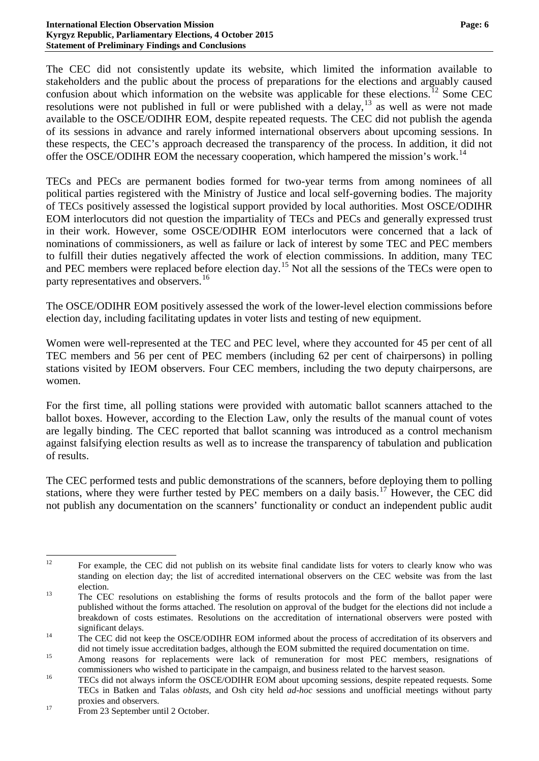The CEC did not consistently update its website, which limited the information available to stakeholders and the public about the process of preparations for the elections and arguably caused confusion about which information on the website was applicable for these elections.<sup>[12](#page-5-0)</sup> Some CEC resolutions were not published in full or were published with a delay,  $13$  as well as were not made available to the OSCE/ODIHR EOM, despite repeated requests. The CEC did not publish the agenda of its sessions in advance and rarely informed international observers about upcoming sessions. In these respects, the CEC's approach decreased the transparency of the process. In addition, it did not offer the OSCE/ODIHR EOM the necessary cooperation, which hampered the mission's work.<sup>[14](#page-5-2)</sup>

TECs and PECs are permanent bodies formed for two-year terms from among nominees of all political parties registered with the Ministry of Justice and local self-governing bodies. The majority of TECs positively assessed the logistical support provided by local authorities. Most OSCE/ODIHR EOM interlocutors did not question the impartiality of TECs and PECs and generally expressed trust in their work. However, some OSCE/ODIHR EOM interlocutors were concerned that a lack of nominations of commissioners, as well as failure or lack of interest by some TEC and PEC members to fulfill their duties negatively affected the work of election commissions. In addition, many TEC and PEC members were replaced before election day.<sup>[15](#page-5-3)</sup> Not all the sessions of the TECs were open to party representatives and observers.<sup>[16](#page-5-4)</sup>

The OSCE/ODIHR EOM positively assessed the work of the lower-level election commissions before election day, including facilitating updates in voter lists and testing of new equipment.

Women were well-represented at the TEC and PEC level, where they accounted for 45 per cent of all TEC members and 56 per cent of PEC members (including 62 per cent of chairpersons) in polling stations visited by IEOM observers. Four CEC members, including the two deputy chairpersons, are women.

For the first time, all polling stations were provided with automatic ballot scanners attached to the ballot boxes. However, according to the Election Law, only the results of the manual count of votes are legally binding. The CEC reported that ballot scanning was introduced as a control mechanism against falsifying election results as well as to increase the transparency of tabulation and publication of results.

The CEC performed tests and public demonstrations of the scanners, before deploying them to polling stations, where they were further tested by PEC members on a daily basis.<sup>[17](#page-5-5)</sup> However, the CEC did not publish any documentation on the scanners' functionality or conduct an independent public audit

<span id="page-5-0"></span><sup>&</sup>lt;sup>12</sup> For example, the CEC did not publish on its website final candidate lists for voters to clearly know who was standing on election day; the list of accredited international observers on the CEC website was from the last

<span id="page-5-1"></span>election.<br><sup>13</sup> The CEC resolutions on establishing the forms of results protocols and the form of the ballot paper were published without the forms attached. The resolution on approval of the budget for the elections did not include a breakdown of costs estimates. Resolutions on the accreditation of international observers were posted with

<span id="page-5-2"></span>significant delays.<br><sup>14</sup> The CEC did not keep the OSCE/ODIHR EOM informed about the process of accreditation of its observers and

did not timely issue accreditation badges, although the EOM submitted the required documentation on time.<br>Among reasons for replacements were lack of remuneration for most PEC members, resignations of

<span id="page-5-4"></span><span id="page-5-3"></span>commissioners who wished to participate in the campaign, and business related to the harvest season.<br>TECs did not always inform the OSCE/ODIHR EOM about upcoming sessions, despite repeated requests. Some TECs in Batken and Talas *oblasts*, and Osh city held *ad-hoc* sessions and unofficial meetings without party proxies and observers.<br><sup>17</sup> From 23 September until 2 October.

<span id="page-5-5"></span>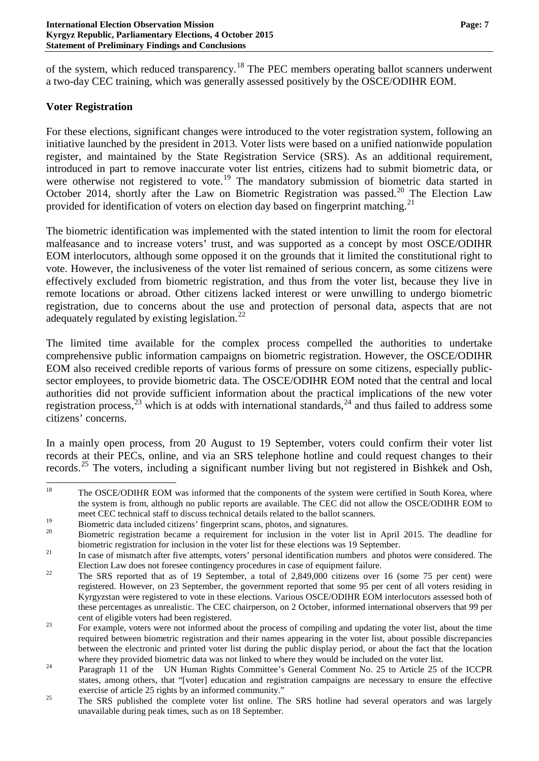of the system, which reduced transparency.<sup>[18](#page-6-0)</sup> The PEC members operating ballot scanners underwent a two-day CEC training, which was generally assessed positively by the OSCE/ODIHR EOM.

## **Voter Registration**

For these elections, significant changes were introduced to the voter registration system, following an initiative launched by the president in 2013. Voter lists were based on a unified nationwide population register, and maintained by the State Registration Service (SRS). As an additional requirement, introduced in part to remove inaccurate voter list entries, citizens had to submit biometric data, or were otherwise not registered to vote.<sup>[19](#page-6-1)</sup> The mandatory submission of biometric data started in October [20](#page-6-2)14, shortly after the Law on Biometric Registration was passed.<sup>20</sup> The Election Law provided for identification of voters on election day based on fingerprint matching.<sup>[21](#page-6-3)</sup>

The biometric identification was implemented with the stated intention to limit the room for electoral malfeasance and to increase voters' trust, and was supported as a concept by most OSCE/ODIHR EOM interlocutors, although some opposed it on the grounds that it limited the constitutional right to vote. However, the inclusiveness of the voter list remained of serious concern, as some citizens were effectively excluded from biometric registration, and thus from the voter list, because they live in remote locations or abroad. Other citizens lacked interest or were unwilling to undergo biometric registration, due to concerns about the use and protection of personal data, aspects that are not adequately regulated by existing legislation.<sup>[22](#page-6-4)</sup>

The limited time available for the complex process compelled the authorities to undertake comprehensive public information campaigns on biometric registration. However, the OSCE/ODIHR EOM also received credible reports of various forms of pressure on some citizens, especially publicsector employees, to provide biometric data. The OSCE/ODIHR EOM noted that the central and local authorities did not provide sufficient information about the practical implications of the new voter registration process, $2^3$  which is at odds with international standards, $2^4$  and thus failed to address some citizens' concerns.

In a mainly open process, from 20 August to 19 September, voters could confirm their voter list records at their PECs, online, and via an SRS telephone hotline and could request changes to their records.<sup>[25](#page-6-7)</sup> The voters, including a significant number living but not registered in Bishkek and Osh,

<span id="page-6-0"></span><sup>&</sup>lt;sup>18</sup> The OSCE/ODIHR EOM was informed that the components of the system were certified in South Korea, where the system is from, although no public reports are available. The CEC did not allow the OSCE/ODIHR EOM to meet CEC technical staff to discuss technical details related to the ballot scanners.

<span id="page-6-2"></span><span id="page-6-1"></span><sup>&</sup>lt;sup>19</sup> Biometric data included citizens' fingerprint scans, photos, and signatures.<br><sup>20</sup> Biometric registration became a requirement for inclusion in the voter list in April 2015. The deadline for biometric registration for inclusion in the voter list for these elections was 19 September.<br><sup>21</sup> In case of mismatch after five attempts, voters' personal identification numbers and photos were considered. The

<span id="page-6-3"></span>

<span id="page-6-4"></span>Election Law does not foresee contingency procedures in case of equipment failure.<br><sup>22</sup> The SRS reported that as of 19 September, a total of 2,849,000 citizens over 16 (some 75 per cent) were registered. However, on 23 September, the government reported that some 95 per cent of all voters residing in Kyrgyzstan were registered to vote in these elections. Various OSCE/ODIHR EOM interlocutors assessed both of these percentages as unrealistic. The CEC chairperson, on 2 October, informed international observers that 99 per

<span id="page-6-5"></span>cent of eligible voters had been registered.<br><sup>23</sup> For example, voters were not informed about the process of compiling and updating the voter list, about the time required between biometric registration and their names appearing in the voter list, about possible discrepancies between the electronic and printed voter list during the public display period, or about the fact that the location

<span id="page-6-6"></span>where they provided biometric data was not linked to where they would be included on the voter list.<br>Paragraph 11 of the UN Human Rights Committee's General Comment No. 25 to Article 25 of the ICCPR states, among others, that "[voter] education and registration campaigns are necessary to ensure the effective

<span id="page-6-7"></span>exercise of article 25 rights by an informed community."<br>The SRS published the complete voter list online. The SRS hotline had several operators and was largely unavailable during peak times, such as on 18 September.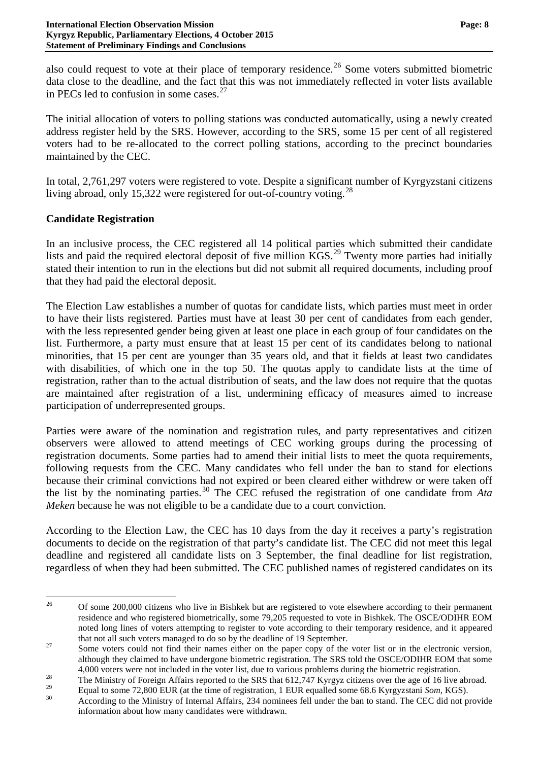also could request to vote at their place of temporary residence.<sup>[26](#page-7-0)</sup> Some voters submitted biometric data close to the deadline, and the fact that this was not immediately reflected in voter lists available in PECs led to confusion in some cases. $27$ 

The initial allocation of voters to polling stations was conducted automatically, using a newly created address register held by the SRS. However, according to the SRS, some 15 per cent of all registered voters had to be re-allocated to the correct polling stations, according to the precinct boundaries maintained by the CEC.

In total, 2,761,297 voters were registered to vote. Despite a significant number of Kyrgyzstani citizens living abroad, only 15,322 were registered for out-of-country voting.<sup>[28](#page-7-2)</sup>

## **Candidate Registration**

In an inclusive process, the CEC registered all 14 political parties which submitted their candidate lists and paid the required electoral deposit of five million KGS.<sup>[29](#page-7-3)</sup> Twenty more parties had initially stated their intention to run in the elections but did not submit all required documents, including proof that they had paid the electoral deposit.

The Election Law establishes a number of quotas for candidate lists, which parties must meet in order to have their lists registered. Parties must have at least 30 per cent of candidates from each gender, with the less represented gender being given at least one place in each group of four candidates on the list. Furthermore, a party must ensure that at least 15 per cent of its candidates belong to national minorities, that 15 per cent are younger than 35 years old, and that it fields at least two candidates with disabilities, of which one in the top 50. The quotas apply to candidate lists at the time of registration, rather than to the actual distribution of seats, and the law does not require that the quotas are maintained after registration of a list, undermining efficacy of measures aimed to increase participation of underrepresented groups.

Parties were aware of the nomination and registration rules, and party representatives and citizen observers were allowed to attend meetings of CEC working groups during the processing of registration documents. Some parties had to amend their initial lists to meet the quota requirements, following requests from the CEC. Many candidates who fell under the ban to stand for elections because their criminal convictions had not expired or been cleared either withdrew or were taken off the list by the nominating parties.[30](#page-7-4) The CEC refused the registration of one candidate from *Ata Meken* because he was not eligible to be a candidate due to a court conviction.

According to the Election Law, the CEC has 10 days from the day it receives a party's registration documents to decide on the registration of that party's candidate list. The CEC did not meet this legal deadline and registered all candidate lists on 3 September, the final deadline for list registration, regardless of when they had been submitted. The CEC published names of registered candidates on its

<span id="page-7-0"></span><sup>&</sup>lt;sup>26</sup> Of some 200,000 citizens who live in Bishkek but are registered to vote elsewhere according to their permanent residence and who registered biometrically, some 79,205 requested to vote in Bishkek. The OSCE/ODIHR EOM noted long lines of voters attempting to register to vote according to their temporary residence, and it appeared that not all such voters managed to do so by the deadline of 19 September.<br><sup>27</sup> Some voters could not find their names either on the paper copy of the voter list or in the electronic version,

<span id="page-7-1"></span>although they claimed to have undergone biometric registration. The SRS told the OSCE/ODIHR EOM that some

<sup>4,000</sup> voters were not included in the voter list, due to various problems during the biometric registration.<br>28 The Ministry of Foreign Affairs reported to the SRS that 612,747 Kyrgyz citizens over the age of 16 live abroa

<span id="page-7-4"></span><span id="page-7-3"></span><span id="page-7-2"></span>

<sup>&</sup>lt;sup>29</sup> Equal to some 72,800 EUR (at the time of registration, 1 EUR equalled some 68.6 Kyrgyzstani *Som*, KGS).<br>According to the Ministry of Internal Affairs, 234 nominees fell under the ban to stand. The CEC did not provid information about how many candidates were withdrawn.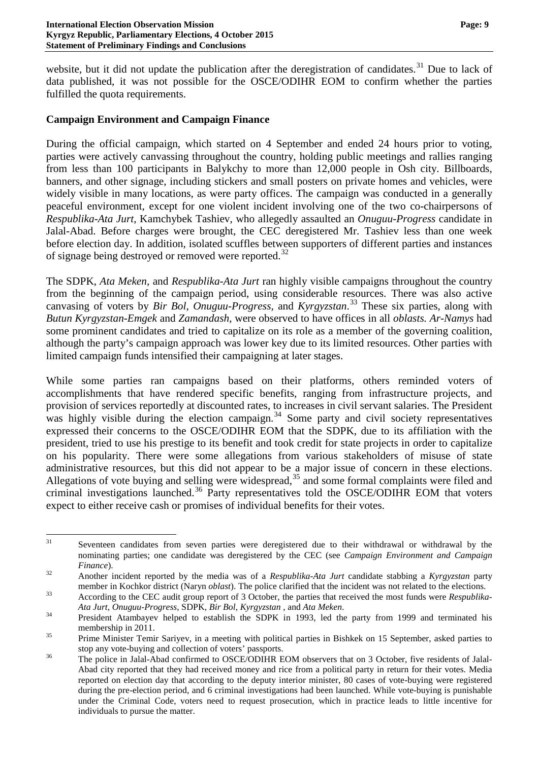website, but it did not update the publication after the deregistration of candidates.<sup>[31](#page-8-0)</sup> Due to lack of data published, it was not possible for the OSCE/ODIHR EOM to confirm whether the parties fulfilled the quota requirements.

## **Campaign Environment and Campaign Finance**

During the official campaign, which started on 4 September and ended 24 hours prior to voting, parties were actively canvassing throughout the country, holding public meetings and rallies ranging from less than 100 participants in Balykchy to more than 12,000 people in Osh city. Billboards, banners, and other signage, including stickers and small posters on private homes and vehicles, were widely visible in many locations, as were party offices. The campaign was conducted in a generally peaceful environment, except for one violent incident involving one of the two co-chairpersons of *Respublika-Ata Jurt*, Kamchybek Tashiev, who allegedly assaulted an *Onuguu-Progress* candidate in Jalal-Abad. Before charges were brought, the CEC deregistered Mr. Tashiev less than one week before election day. In addition, isolated scuffles between supporters of different parties and instances of signage being destroyed or removed were reported.<sup>[32](#page-8-1)</sup>

The SDPK, *Ata Meken,* and *Respublika-Ata Jurt* ran highly visible campaigns throughout the country from the beginning of the campaign period, using considerable resources. There was also active canvasing of voters by *Bir Bol*, *Onuguu-Progress,* and *Kyrgyzstan*. [33](#page-8-2) These six parties, along with *Butun Kyrgyzstan-Emgek* and *Zamandash*, were observed to have offices in all *oblasts. Ar-Namys* had some prominent candidates and tried to capitalize on its role as a member of the governing coalition, although the party's campaign approach was lower key due to its limited resources. Other parties with limited campaign funds intensified their campaigning at later stages.

While some parties ran campaigns based on their platforms, others reminded voters of accomplishments that have rendered specific benefits, ranging from infrastructure projects, and provision of services reportedly at discounted rates, to increases in civil servant salaries. The President was highly visible during the election campaign.<sup>[34](#page-8-3)</sup> Some party and civil society representatives expressed their concerns to the OSCE/ODIHR EOM that the SDPK, due to its affiliation with the president, tried to use his prestige to its benefit and took credit for state projects in order to capitalize on his popularity. There were some allegations from various stakeholders of misuse of state administrative resources, but this did not appear to be a major issue of concern in these elections. Allegations of vote buying and selling were widespread,<sup>[35](#page-8-4)</sup> and some formal complaints were filed and criminal investigations launched.<sup>[36](#page-8-5)</sup> Party representatives told the OSCE/ODIHR EOM that voters expect to either receive cash or promises of individual benefits for their votes.

<span id="page-8-0"></span><sup>&</sup>lt;sup>31</sup> Seventeen candidates from seven parties were deregistered due to their withdrawal or withdrawal by the nominating parties; one candidate was deregistered by the CEC (see *Campaign Environment and Campaign Finance*). <sup>32</sup> Another incident reported by the media was of a *Respublika-Ata Jurt* candidate stabbing a *Kyrgyzstan* party

<span id="page-8-1"></span>member in Kochkor district (Naryn *oblast*). The police clarified that the incident was not related to the elections.<br>According to the CEC audit group report of 3 October, the parties that received the most funds were *Res* 

<span id="page-8-2"></span>

<span id="page-8-3"></span>*Ata Jurt*, *Onuguu-Progress*, SDPK, *Bir Bol*, *Kyrgyzstan* , and *Ata Meken*. <sup>34</sup> President Atambayev helped to establish the SDPK in 1993, led the party from 1999 and terminated his

<span id="page-8-4"></span>membership in 2011.<br><sup>35</sup> Prime Minister Temir Sariyev, in a meeting with political parties in Bishkek on 15 September, asked parties to

<span id="page-8-5"></span>stop any vote-buying and collection of voters' passports.<br><sup>36</sup> The police in Jalal-Abad confirmed to OSCE/ODIHR EOM observers that on 3 October, five residents of Jalal-Abad city reported that they had received money and rice from a political party in return for their votes. Media reported on election day that according to the deputy interior minister, 80 cases of vote-buying were registered during the pre-election period, and 6 criminal investigations had been launched. While vote-buying is punishable under the Criminal Code, voters need to request prosecution, which in practice leads to little incentive for individuals to pursue the matter.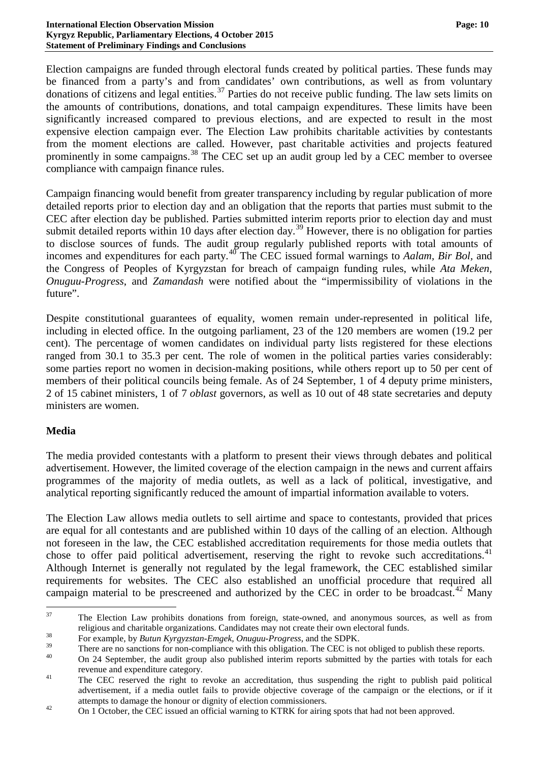Election campaigns are funded through electoral funds created by political parties. These funds may be financed from a party's and from candidates' own contributions, as well as from voluntary donations of citizens and legal entities.<sup>[37](#page-9-0)</sup> Parties do not receive public funding. The law sets limits on the amounts of contributions, donations, and total campaign expenditures. These limits have been significantly increased compared to previous elections, and are expected to result in the most expensive election campaign ever. The Election Law prohibits charitable activities by contestants from the moment elections are called. However, past charitable activities and projects featured prominently in some campaigns.<sup>[38](#page-9-1)</sup> The CEC set up an audit group led by a CEC member to oversee compliance with campaign finance rules.

Campaign financing would benefit from greater transparency including by regular publication of more detailed reports prior to election day and an obligation that the reports that parties must submit to the CEC after election day be published. Parties submitted interim reports prior to election day and must submit detailed reports within 10 days after election day.<sup>[39](#page-9-2)</sup> However, there is no obligation for parties to disclose sources of funds. The audit group regularly published reports with total amounts of incomes and expenditures for each party.[40](#page-9-3) The CEC issued formal warnings to *Aalam, Bir Bol,* and the Congress of Peoples of Kyrgyzstan for breach of campaign funding rules, while *Ata Meken, Onuguu-Progress*, and *Zamandash* were notified about the "impermissibility of violations in the future".

Despite constitutional guarantees of equality, women remain under-represented in political life, including in elected office. In the outgoing parliament, 23 of the 120 members are women (19.2 per cent). The percentage of women candidates on individual party lists registered for these elections ranged from 30.1 to 35.3 per cent. The role of women in the political parties varies considerably: some parties report no women in decision-making positions, while others report up to 50 per cent of members of their political councils being female. As of 24 September, 1 of 4 deputy prime ministers, 2 of 15 cabinet ministers, 1 of 7 *oblast* governors, as well as 10 out of 48 state secretaries and deputy ministers are women.

#### **Media**

The media provided contestants with a platform to present their views through debates and political advertisement. However, the limited coverage of the election campaign in the news and current affairs programmes of the majority of media outlets, as well as a lack of political, investigative, and analytical reporting significantly reduced the amount of impartial information available to voters.

The Election Law allows media outlets to sell airtime and space to contestants, provided that prices are equal for all contestants and are published within 10 days of the calling of an election. Although not foreseen in the law, the CEC established accreditation requirements for those media outlets that chose to offer paid political advertisement, reserving the right to revoke such accreditations.<sup>[41](#page-9-4)</sup> Although Internet is generally not regulated by the legal framework, the CEC established similar requirements for websites. The CEC also established an unofficial procedure that required all campaign material to be prescreened and authorized by the CEC in order to be broadcast.<sup>[42](#page-9-5)</sup> Many

<span id="page-9-0"></span><sup>&</sup>lt;sup>37</sup> The Election Law prohibits donations from foreign, state-owned, and anonymous sources, as well as from religious and charitable organizations. Candidates may not create their own electoral funds. <sup>38</sup> For example, by *Butun Kyrgyzstan-Emgek, Onuguu-Progress*, and the SDPK.

<span id="page-9-3"></span><span id="page-9-2"></span><span id="page-9-1"></span><sup>&</sup>lt;sup>39</sup> There are no sanctions for non-compliance with this obligation. The CEC is not obliged to publish these reports.<br><sup>40</sup> On 24 September, the audit group also published interim reports submitted by the parties with tota

<span id="page-9-4"></span>revenue and expenditure category.<br><sup>41</sup> The CEC reserved the right to revoke an accreditation, thus suspending the right to publish paid political advertisement, if a media outlet fails to provide objective coverage of the campaign or the elections, or if it attempts to damage the honour or dignity of election commissioners.<br>
42 On 1 October, the CEC issued an official warning to KTRK for airing spots that had not been approved.

<span id="page-9-5"></span>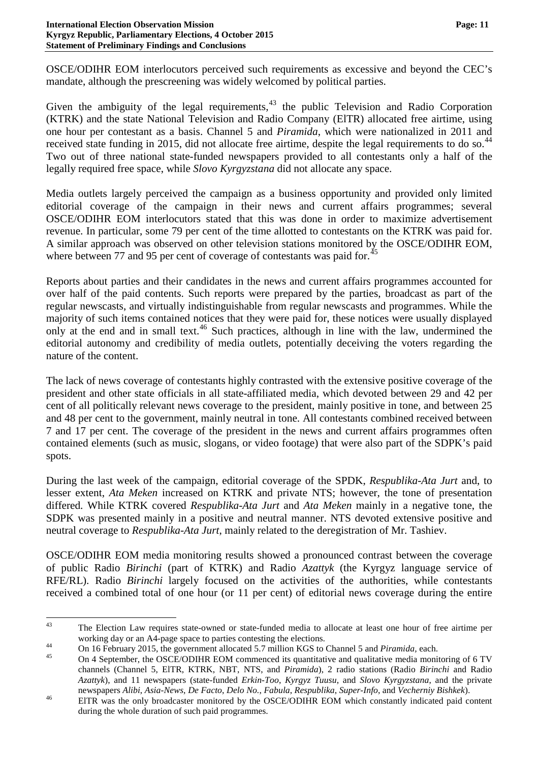OSCE/ODIHR EOM interlocutors perceived such requirements as excessive and beyond the CEC's mandate, although the prescreening was widely welcomed by political parties.

Given the ambiguity of the legal requirements,  $43$  the public Television and Radio Corporation (KTRK) and the state National Television and Radio Company (ElTR) allocated free airtime, using one hour per contestant as a basis. Channel 5 and *Piramida*, which were nationalized in 2011 and received state funding in 2015, did not allocate free airtime, despite the legal requirements to do so.<sup>[44](#page-10-1)</sup> Two out of three national state-funded newspapers provided to all contestants only a half of the legally required free space, while *Slovo Kyrgyzstana* did not allocate any space.

Media outlets largely perceived the campaign as a business opportunity and provided only limited editorial coverage of the campaign in their news and current affairs programmes; several OSCE/ODIHR EOM interlocutors stated that this was done in order to maximize advertisement revenue. In particular, some 79 per cent of the time allotted to contestants on the KTRK was paid for. A similar approach was observed on other television stations monitored by the OSCE/ODIHR EOM, where between 77 and 95 per cent of coverage of contestants was paid for.<sup>[45](#page-10-2)</sup>

Reports about parties and their candidates in the news and current affairs programmes accounted for over half of the paid contents. Such reports were prepared by the parties, broadcast as part of the regular newscasts, and virtually indistinguishable from regular newscasts and programmes. While the majority of such items contained notices that they were paid for, these notices were usually displayed only at the end and in small text.<sup>[46](#page-10-3)</sup> Such practices, although in line with the law, undermined the editorial autonomy and credibility of media outlets, potentially deceiving the voters regarding the nature of the content.

The lack of news coverage of contestants highly contrasted with the extensive positive coverage of the president and other state officials in all state-affiliated media, which devoted between 29 and 42 per cent of all politically relevant news coverage to the president, mainly positive in tone, and between 25 and 48 per cent to the government, mainly neutral in tone. All contestants combined received between 7 and 17 per cent. The coverage of the president in the news and current affairs programmes often contained elements (such as music, slogans, or video footage) that were also part of the SDPK's paid spots.

During the last week of the campaign, editorial coverage of the SPDK, *Respublika-Ata Jurt* and, to lesser extent, *Ata Meken* increased on KTRK and private NTS; however, the tone of presentation differed. While KTRK covered *Respublika-Ata Jurt* and *Ata Meken* mainly in a negative tone, the SDPK was presented mainly in a positive and neutral manner. NTS devoted extensive positive and neutral coverage to *Respublika-Ata Jurt*, mainly related to the deregistration of Mr. Tashiev.

OSCE/ODIHR EOM media monitoring results showed a pronounced contrast between the coverage of public Radio *Birinchi* (part of KTRK) and Radio *Azattyk* (the Kyrgyz language service of RFE/RL). Radio *Birinchi* largely focused on the activities of the authorities, while contestants received a combined total of one hour (or 11 per cent) of editorial news coverage during the entire

<span id="page-10-0"></span><sup>&</sup>lt;sup>43</sup> The Election Law requires state-owned or state-funded media to allocate at least one hour of free airtime per working day or an A4-page space to parties contesting the elections.<br>On 16 February 2015, the government allocated 5.7 million KGS to Channel 5 and *Piramida*, each.<br>On 4 September, the OSCE/ODIHR EOM commenced its quantit

<span id="page-10-1"></span>

<span id="page-10-2"></span>channels (Channel 5, ElTR, KTRK, NBT, NTS, and *Piramida*), 2 radio stations (Radio *Birinchi* and Radio *Azattyk*), and 11 newspapers (state-funded *Erkin-Too*, *Kyrgyz Tuusu*, and *Slovo Kyrgyzstana*, and the private

<span id="page-10-3"></span>newspapers Alibi, Asia-News, De Facto, Delo No., Fabula, Respublika, Super-Info, and Vecherniy Bishkek).<br>EITR was the only broadcaster monitored by the OSCE/ODIHR EOM which constantly indicated paid content during the whole duration of such paid programmes.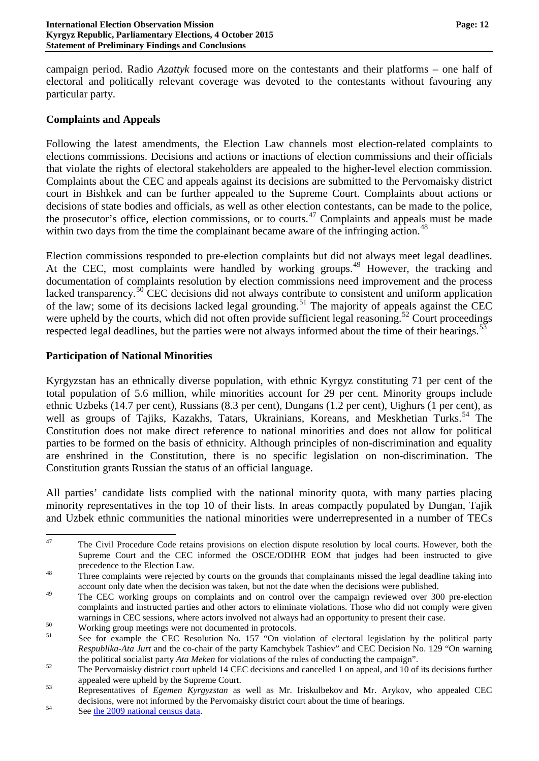campaign period. Radio *Azattyk* focused more on the contestants and their platforms – one half of electoral and politically relevant coverage was devoted to the contestants without favouring any particular party.

#### **Complaints and Appeals**

Following the latest amendments, the Election Law channels most election-related complaints to elections commissions. Decisions and actions or inactions of election commissions and their officials that violate the rights of electoral stakeholders are appealed to the higher-level election commission. Complaints about the CEC and appeals against its decisions are submitted to the Pervomaisky district court in Bishkek and can be further appealed to the Supreme Court. Complaints about actions or decisions of state bodies and officials, as well as other election contestants, can be made to the police, the prosecutor's office, election commissions, or to courts.<sup>[47](#page-11-0)</sup> Complaints and appeals must be made within two days from the time the complainant became aware of the infringing action.<sup>[48](#page-11-1)</sup>

Election commissions responded to pre-election complaints but did not always meet legal deadlines. At the CEC, most complaints were handled by working groups.<sup>[49](#page-11-2)</sup> However, the tracking and documentation of complaints resolution by election commissions need improvement and the process lacked transparency.<sup>[50](#page-11-3)</sup> CEC decisions did not always contribute to consistent and uniform application of the law; some of its decisions lacked legal grounding.<sup>[51](#page-11-4)</sup> The majority of appeals against the CEC were upheld by the courts, which did not often provide sufficient legal reasoning.<sup>[52](#page-11-5)</sup> Court proceedings respected legal deadlines, but the parties were not always informed about the time of their hearings.<sup>[53](#page-11-6)</sup>

#### **Participation of National Minorities**

Kyrgyzstan has an ethnically diverse population, with ethnic Kyrgyz constituting 71 per cent of the total population of 5.6 million, while minorities account for 29 per cent. Minority groups include ethnic Uzbeks (14.7 per cent), Russians (8.3 per cent), Dungans (1.2 per cent), Uighurs (1 per cent), as well as groups of Tajiks, Kazakhs, Tatars, Ukrainians, Koreans, and Meskhetian Turks.<sup>[54](#page-11-7)</sup> The Constitution does not make direct reference to national minorities and does not allow for political parties to be formed on the basis of ethnicity. Although principles of non-discrimination and equality are enshrined in the Constitution, there is no specific legislation on non-discrimination. The Constitution grants Russian the status of an official language.

All parties' candidate lists complied with the national minority quota, with many parties placing minority representatives in the top 10 of their lists. In areas compactly populated by Dungan, Tajik and Uzbek ethnic communities the national minorities were underrepresented in a number of TECs

<span id="page-11-0"></span><sup>&</sup>lt;sup>47</sup> The Civil Procedure Code retains provisions on election dispute resolution by local courts. However, both the Supreme Court and the CEC informed the OSCE/ODIHR EOM that judges had been instructed to give precedence to the Election Law.<br><sup>48</sup> Three complaints were rejected by courts on the grounds that complainants missed the legal deadline taking into

<span id="page-11-1"></span>account only date when the decision was taken, but not the date when the decisions were published.

<span id="page-11-2"></span><sup>&</sup>lt;sup>49</sup> The CEC working groups on complaints and on control over the campaign reviewed over 300 pre-election complaints and instructed parties and other actors to eliminate violations. Those who did not comply were given warnings in CEC sessions, where actors involved not always had an opportunity to present their case.<br>Working group meetings were not documented in protocols.<br>See for example the CEC Resolution No. 157 "On violation of elec

<span id="page-11-3"></span>

<span id="page-11-4"></span>*Respublika-Ata Jurt* and the co-chair of the party Kamchybek Tashiev" and CEC Decision No. 129 "On warning

the political socialist party *Ata Meken* for violations of the rules of conducting the campaign".<br><sup>52</sup> The Pervomaisky district court upheld 14 CEC decisions and cancelled 1 on appeal, and 10 of its decisions further

<span id="page-11-6"></span><span id="page-11-5"></span>appealed were upheld by the Supreme Court. 53 Representatives of *Egemen Kyrgyzstan* as well as Mr. Iriskulbekov and Mr. Arykov, who appealed CEC decisions, were not informed by the Pervomaisky district court about the time of hearings.<br>See [the 2009 national census data.](http://www.stat.kg/rus/part/census.html)

<span id="page-11-7"></span>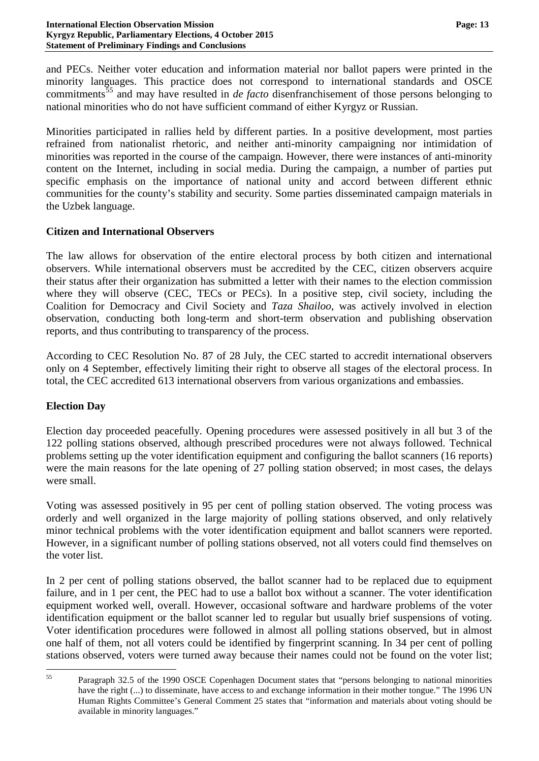and PECs. Neither voter education and information material nor ballot papers were printed in the minority languages. This practice does not correspond to international standards and OSCE commitments<sup>[55](#page-12-0)</sup> and may have resulted in *de facto* disenfranchisement of those persons belonging to national minorities who do not have sufficient command of either Kyrgyz or Russian.

Minorities participated in rallies held by different parties. In a positive development, most parties refrained from nationalist rhetoric, and neither anti-minority campaigning nor intimidation of minorities was reported in the course of the campaign. However, there were instances of anti-minority content on the Internet, including in social media. During the campaign, a number of parties put specific emphasis on the importance of national unity and accord between different ethnic communities for the county's stability and security. Some parties disseminated campaign materials in the Uzbek language.

#### **Citizen and International Observers**

The law allows for observation of the entire electoral process by both citizen and international observers. While international observers must be accredited by the CEC, citizen observers acquire their status after their organization has submitted a letter with their names to the election commission where they will observe (CEC, TECs or PECs). In a positive step, civil society, including the Coalition for Democracy and Civil Society and *Taza Shailoo*, was actively involved in election observation, conducting both long-term and short-term observation and publishing observation reports, and thus contributing to transparency of the process.

According to CEC Resolution No. 87 of 28 July, the CEC started to accredit international observers only on 4 September, effectively limiting their right to observe all stages of the electoral process. In total, the CEC accredited 613 international observers from various organizations and embassies.

## **Election Day**

Election day proceeded peacefully. Opening procedures were assessed positively in all but 3 of the 122 polling stations observed, although prescribed procedures were not always followed. Technical problems setting up the voter identification equipment and configuring the ballot scanners (16 reports) were the main reasons for the late opening of 27 polling station observed; in most cases, the delays were small.

Voting was assessed positively in 95 per cent of polling station observed. The voting process was orderly and well organized in the large majority of polling stations observed, and only relatively minor technical problems with the voter identification equipment and ballot scanners were reported. However, in a significant number of polling stations observed, not all voters could find themselves on the voter list.

In 2 per cent of polling stations observed, the ballot scanner had to be replaced due to equipment failure, and in 1 per cent, the PEC had to use a ballot box without a scanner. The voter identification equipment worked well, overall. However, occasional software and hardware problems of the voter identification equipment or the ballot scanner led to regular but usually brief suspensions of voting. Voter identification procedures were followed in almost all polling stations observed, but in almost one half of them, not all voters could be identified by fingerprint scanning. In 34 per cent of polling stations observed, voters were turned away because their names could not be found on the voter list;

<span id="page-12-0"></span><sup>&</sup>lt;sup>55</sup> Paragraph 32.5 of the 1990 OSCE Copenhagen Document states that "persons belonging to national minorities have the right  $(...)$  to disseminate, have access to and exchange information in their mother tongue." The 1996 UN Human Rights Committee's General Comment 25 states that "information and materials about voting should be available in minority languages."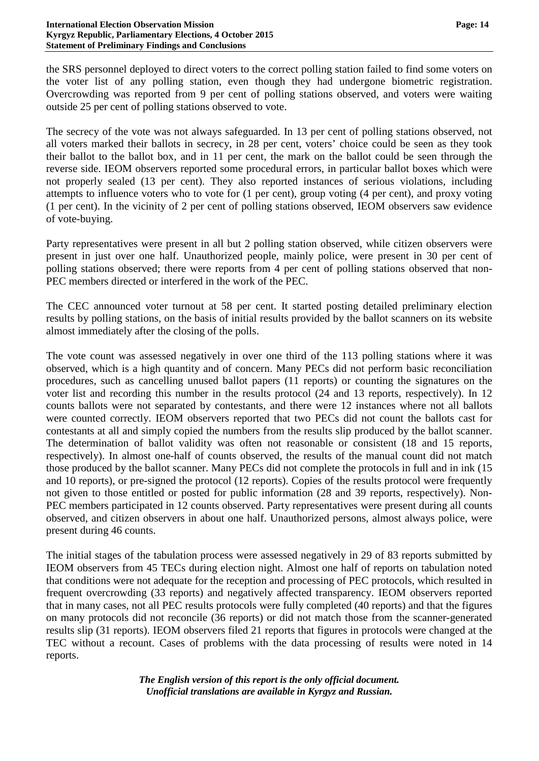the SRS personnel deployed to direct voters to the correct polling station failed to find some voters on the voter list of any polling station, even though they had undergone biometric registration. Overcrowding was reported from 9 per cent of polling stations observed, and voters were waiting outside 25 per cent of polling stations observed to vote.

The secrecy of the vote was not always safeguarded. In 13 per cent of polling stations observed, not all voters marked their ballots in secrecy, in 28 per cent, voters' choice could be seen as they took their ballot to the ballot box, and in 11 per cent, the mark on the ballot could be seen through the reverse side. IEOM observers reported some procedural errors, in particular ballot boxes which were not properly sealed (13 per cent). They also reported instances of serious violations, including attempts to influence voters who to vote for (1 per cent), group voting (4 per cent), and proxy voting (1 per cent). In the vicinity of 2 per cent of polling stations observed, IEOM observers saw evidence of vote-buying.

Party representatives were present in all but 2 polling station observed, while citizen observers were present in just over one half. Unauthorized people, mainly police, were present in 30 per cent of polling stations observed; there were reports from 4 per cent of polling stations observed that non-PEC members directed or interfered in the work of the PEC.

The CEC announced voter turnout at 58 per cent. It started posting detailed preliminary election results by polling stations, on the basis of initial results provided by the ballot scanners on its website almost immediately after the closing of the polls.

The vote count was assessed negatively in over one third of the 113 polling stations where it was observed, which is a high quantity and of concern. Many PECs did not perform basic reconciliation procedures, such as cancelling unused ballot papers (11 reports) or counting the signatures on the voter list and recording this number in the results protocol (24 and 13 reports, respectively). In 12 counts ballots were not separated by contestants, and there were 12 instances where not all ballots were counted correctly. IEOM observers reported that two PECs did not count the ballots cast for contestants at all and simply copied the numbers from the results slip produced by the ballot scanner. The determination of ballot validity was often not reasonable or consistent (18 and 15 reports, respectively). In almost one-half of counts observed, the results of the manual count did not match those produced by the ballot scanner. Many PECs did not complete the protocols in full and in ink (15 and 10 reports), or pre-signed the protocol (12 reports). Copies of the results protocol were frequently not given to those entitled or posted for public information (28 and 39 reports, respectively). Non-PEC members participated in 12 counts observed. Party representatives were present during all counts observed, and citizen observers in about one half. Unauthorized persons, almost always police, were present during 46 counts.

The initial stages of the tabulation process were assessed negatively in 29 of 83 reports submitted by IEOM observers from 45 TECs during election night. Almost one half of reports on tabulation noted that conditions were not adequate for the reception and processing of PEC protocols, which resulted in frequent overcrowding (33 reports) and negatively affected transparency. IEOM observers reported that in many cases, not all PEC results protocols were fully completed (40 reports) and that the figures on many protocols did not reconcile (36 reports) or did not match those from the scanner-generated results slip (31 reports). IEOM observers filed 21 reports that figures in protocols were changed at the TEC without a recount. Cases of problems with the data processing of results were noted in 14 reports.

> *The English version of this report is the only official document. Unofficial translations are available in Kyrgyz and Russian.*